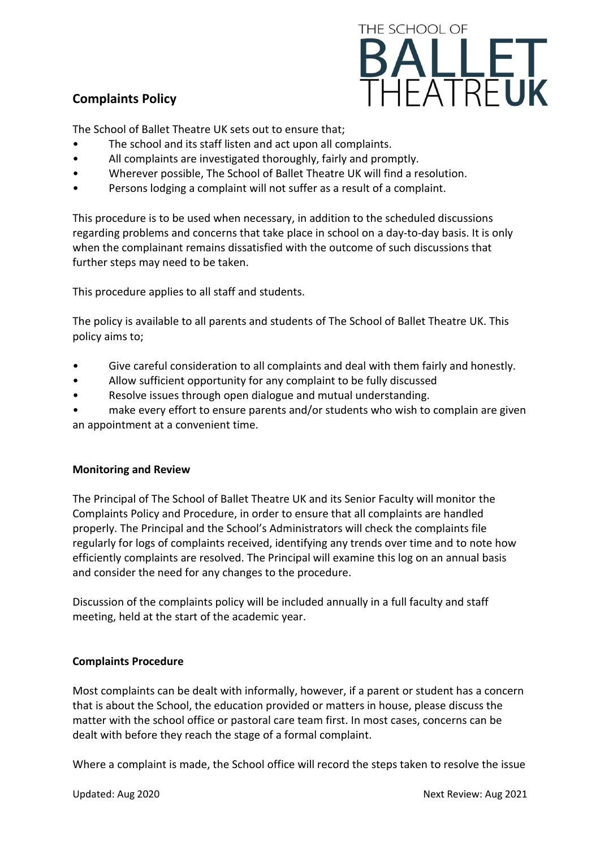# **Complaints Policy**



The School of Ballet Theatre UK sets out to ensure that;

- The school and its staff listen and act upon all complaints.
- All complaints are investigated thoroughly, fairly and promptly.
- Wherever possible, The School of Ballet Theatre UK will find a resolution.
- Persons lodging a complaint will not suffer as a result of a complaint.

This procedure is to be used when necessary, in addition to the scheduled discussions regarding problems and concerns that take place in school on a day-to-day basis. It is only when the complainant remains dissatisfied with the outcome of such discussions that further steps may need to be taken.

This procedure applies to all staff and students.

The policy is available to all parents and students of The School of Ballet Theatre UK. This policy aims to;

- Give careful consideration to all complaints and deal with them fairly and honestly.
- Allow sufficient opportunity for any complaint to be fully discussed
- Resolve issues through open dialogue and mutual understanding.

make every effort to ensure parents and/or students who wish to complain are given an appointment at a convenient time.

### **Monitoring and Review**

The Principal of The School of Ballet Theatre UK and its Senior Faculty will monitor the Complaints Policy and Procedure, in order to ensure that all complaints are handled properly. The Principal and the School's Administrators will check the complaints file regularly for logs of complaints received, identifying any trends over time and to note how efficiently complaints are resolved. The Principal will examine this log on an annual basis and consider the need for any changes to the procedure.

Discussion of the complaints policy will be included annually in a full faculty and staff meeting, held at the start of the academic year.

### **Complaints Procedure**

Most complaints can be dealt with informally, however, if a parent or student has a concern that is about the School, the education provided or matters in house, please discuss the matter with the school office or pastoral care team first. In most cases, concerns can be dealt with before they reach the stage of a formal complaint.

Where a complaint is made, the School office will record the steps taken to resolve the issue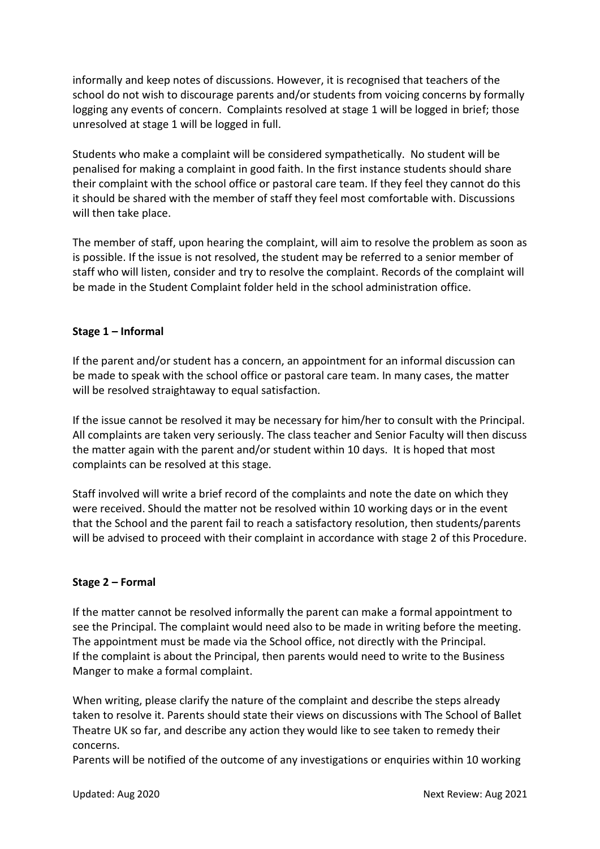informally and keep notes of discussions. However, it is recognised that teachers of the school do not wish to discourage parents and/or students from voicing concerns by formally logging any events of concern. Complaints resolved at stage 1 will be logged in brief; those unresolved at stage 1 will be logged in full.

Students who make a complaint will be considered sympathetically. No student will be penalised for making a complaint in good faith. In the first instance students should share their complaint with the school office or pastoral care team. If they feel they cannot do this it should be shared with the member of staff they feel most comfortable with. Discussions will then take place.

The member of staff, upon hearing the complaint, will aim to resolve the problem as soon as is possible. If the issue is not resolved, the student may be referred to a senior member of staff who will listen, consider and try to resolve the complaint. Records of the complaint will be made in the Student Complaint folder held in the school administration office.

### **Stage 1 – Informal**

If the parent and/or student has a concern, an appointment for an informal discussion can be made to speak with the school office or pastoral care team. In many cases, the matter will be resolved straightaway to equal satisfaction.

If the issue cannot be resolved it may be necessary for him/her to consult with the Principal. All complaints are taken very seriously. The class teacher and Senior Faculty will then discuss the matter again with the parent and/or student within 10 days. It is hoped that most complaints can be resolved at this stage.

Staff involved will write a brief record of the complaints and note the date on which they were received. Should the matter not be resolved within 10 working days or in the event that the School and the parent fail to reach a satisfactory resolution, then students/parents will be advised to proceed with their complaint in accordance with stage 2 of this Procedure.

#### **Stage 2 – Formal**

If the matter cannot be resolved informally the parent can make a formal appointment to see the Principal. The complaint would need also to be made in writing before the meeting. The appointment must be made via the School office, not directly with the Principal. If the complaint is about the Principal, then parents would need to write to the Business Manger to make a formal complaint.

When writing, please clarify the nature of the complaint and describe the steps already taken to resolve it. Parents should state their views on discussions with The School of Ballet Theatre UK so far, and describe any action they would like to see taken to remedy their concerns.

Parents will be notified of the outcome of any investigations or enquiries within 10 working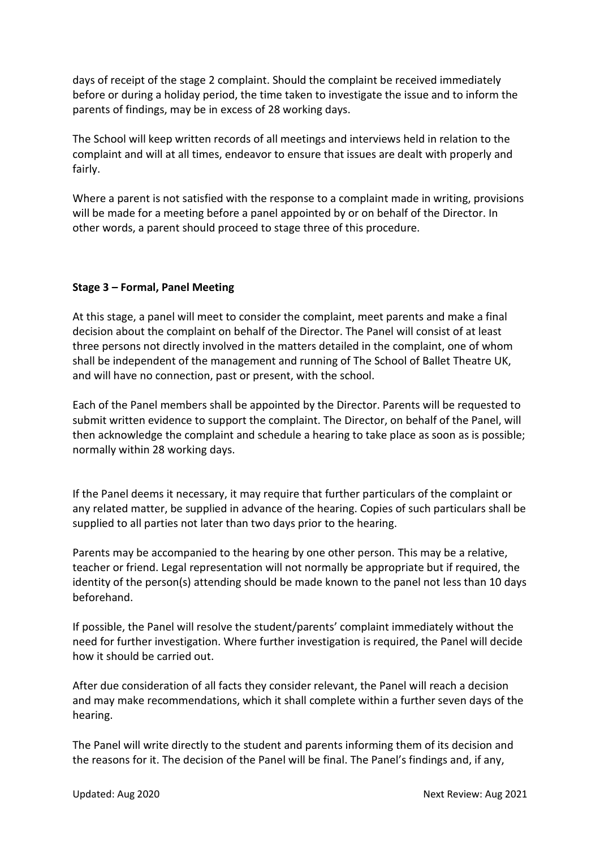days of receipt of the stage 2 complaint. Should the complaint be received immediately before or during a holiday period, the time taken to investigate the issue and to inform the parents of findings, may be in excess of 28 working days.

The School will keep written records of all meetings and interviews held in relation to the complaint and will at all times, endeavor to ensure that issues are dealt with properly and fairly.

Where a parent is not satisfied with the response to a complaint made in writing, provisions will be made for a meeting before a panel appointed by or on behalf of the Director. In other words, a parent should proceed to stage three of this procedure.

## **Stage 3 – Formal, Panel Meeting**

At this stage, a panel will meet to consider the complaint, meet parents and make a final decision about the complaint on behalf of the Director. The Panel will consist of at least three persons not directly involved in the matters detailed in the complaint, one of whom shall be independent of the management and running of The School of Ballet Theatre UK, and will have no connection, past or present, with the school.

Each of the Panel members shall be appointed by the Director. Parents will be requested to submit written evidence to support the complaint. The Director, on behalf of the Panel, will then acknowledge the complaint and schedule a hearing to take place as soon as is possible; normally within 28 working days.

If the Panel deems it necessary, it may require that further particulars of the complaint or any related matter, be supplied in advance of the hearing. Copies of such particulars shall be supplied to all parties not later than two days prior to the hearing.

Parents may be accompanied to the hearing by one other person. This may be a relative, teacher or friend. Legal representation will not normally be appropriate but if required, the identity of the person(s) attending should be made known to the panel not less than 10 days beforehand.

If possible, the Panel will resolve the student/parents' complaint immediately without the need for further investigation. Where further investigation is required, the Panel will decide how it should be carried out.

After due consideration of all facts they consider relevant, the Panel will reach a decision and may make recommendations, which it shall complete within a further seven days of the hearing.

The Panel will write directly to the student and parents informing them of its decision and the reasons for it. The decision of the Panel will be final. The Panel's findings and, if any,